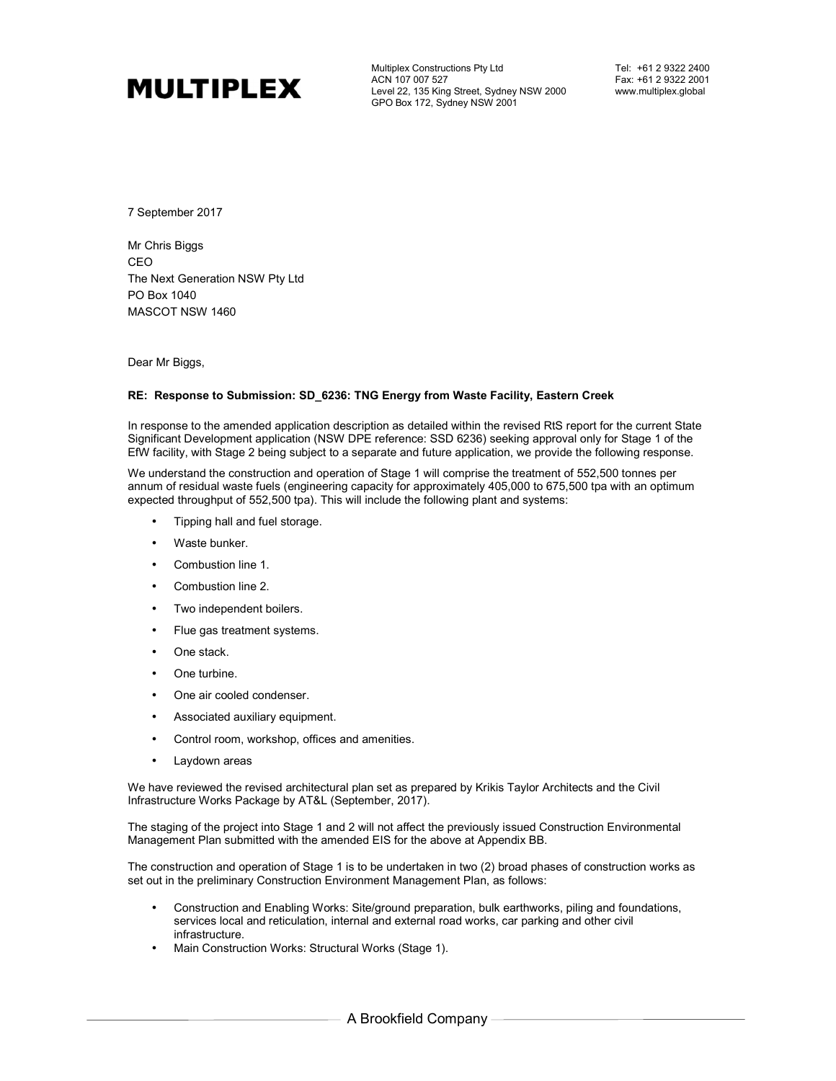

Multiplex Constructions Pty Ltd ACN 107 007 527 Level 22, 135 King Street, Sydney NSW 2000 GPO Box 172, Sydney NSW 2001

Tel: +61 2 9322 2400 Fax: +61 2 9322 2001 www.multiplex.global

7 September 2017

Mr Chris Biggs CEO The Next Generation NSW Pty Ltd PO Box 1040 MASCOT NSW 1460

Dear Mr Biggs,

## **RE: Response to Submission: SD\_6236: TNG Energy from Waste Facility, Eastern Creek**

In response to the amended application description as detailed within the revised RtS report for the current State Significant Development application (NSW DPE reference: SSD 6236) seeking approval only for Stage 1 of the EfW facility, with Stage 2 being subject to a separate and future application, we provide the following response.

We understand the construction and operation of Stage 1 will comprise the treatment of 552,500 tonnes per annum of residual waste fuels (engineering capacity for approximately 405,000 to 675,500 tpa with an optimum expected throughput of 552,500 tpa). This will include the following plant and systems:

- Tipping hall and fuel storage.
- Waste bunker.
- Combustion line 1.
- Combustion line 2.
- Two independent boilers.
- Flue gas treatment systems.
- One stack.
- One turbine.
- One air cooled condenser.
- Associated auxiliary equipment.
- Control room, workshop, offices and amenities.
- Laydown areas

We have reviewed the revised architectural plan set as prepared by Krikis Taylor Architects and the Civil Infrastructure Works Package by AT&L (September, 2017).

The staging of the project into Stage 1 and 2 will not affect the previously issued Construction Environmental Management Plan submitted with the amended EIS for the above at Appendix BB.

The construction and operation of Stage 1 is to be undertaken in two (2) broad phases of construction works as set out in the preliminary Construction Environment Management Plan, as follows:

- Construction and Enabling Works: Site/ground preparation, bulk earthworks, piling and foundations, services local and reticulation, internal and external road works, car parking and other civil infrastructure.
- Main Construction Works: Structural Works (Stage 1).